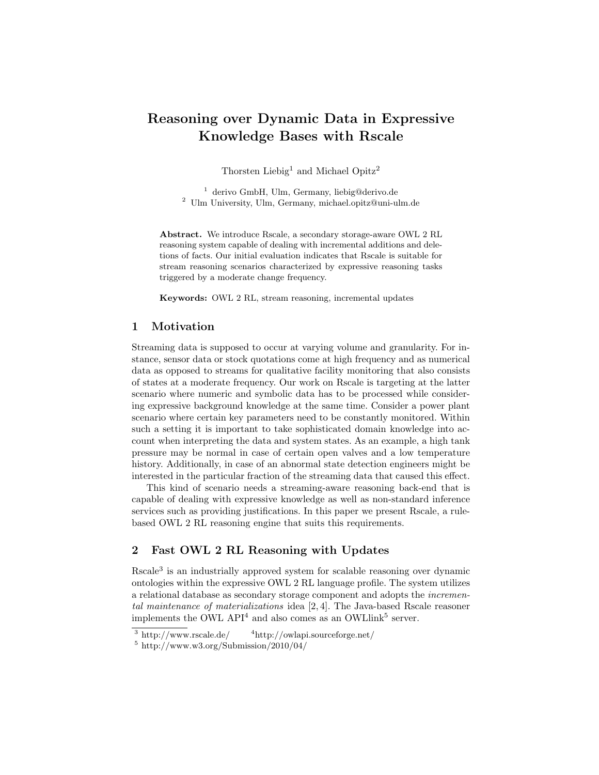# Reasoning over Dynamic Data in Expressive Knowledge Bases with Rscale

Thorsten Liebig<sup>1</sup> and Michael Opitz<sup>2</sup>

<sup>1</sup> derivo GmbH, Ulm, Germany, liebig@derivo.de <sup>2</sup> Ulm University, Ulm, Germany, michael.opitz@uni-ulm.de

Abstract. We introduce Rscale, a secondary storage-aware OWL 2 RL reasoning system capable of dealing with incremental additions and deletions of facts. Our initial evaluation indicates that Rscale is suitable for stream reasoning scenarios characterized by expressive reasoning tasks triggered by a moderate change frequency.

Keywords: OWL 2 RL, stream reasoning, incremental updates

## 1 Motivation

Streaming data is supposed to occur at varying volume and granularity. For instance, sensor data or stock quotations come at high frequency and as numerical data as opposed to streams for qualitative facility monitoring that also consists of states at a moderate frequency. Our work on Rscale is targeting at the latter scenario where numeric and symbolic data has to be processed while considering expressive background knowledge at the same time. Consider a power plant scenario where certain key parameters need to be constantly monitored. Within such a setting it is important to take sophisticated domain knowledge into account when interpreting the data and system states. As an example, a high tank pressure may be normal in case of certain open valves and a low temperature history. Additionally, in case of an abnormal state detection engineers might be interested in the particular fraction of the streaming data that caused this effect.

This kind of scenario needs a streaming-aware reasoning back-end that is capable of dealing with expressive knowledge as well as non-standard inference services such as providing justifications. In this paper we present Rscale, a rulebased OWL 2 RL reasoning engine that suits this requirements.

# 2 Fast OWL 2 RL Reasoning with Updates

Rscale<sup>3</sup> is an industrially approved system for scalable reasoning over dynamic ontologies within the expressive OWL 2 RL language profile. The system utilizes a relational database as secondary storage component and adopts the incremental maintenance of materializations idea [2, 4]. The Java-based Rscale reasoner implements the OWL API<sup>4</sup> and also comes as an OWLlink<sup>5</sup> server.

 $3 \text{ http://www.rscale.de/}$   $4 \text{http://owlapi.sourcefore.net/}$ 

 $5 \text{ http://www.w3.org/Submission/2010/04/}$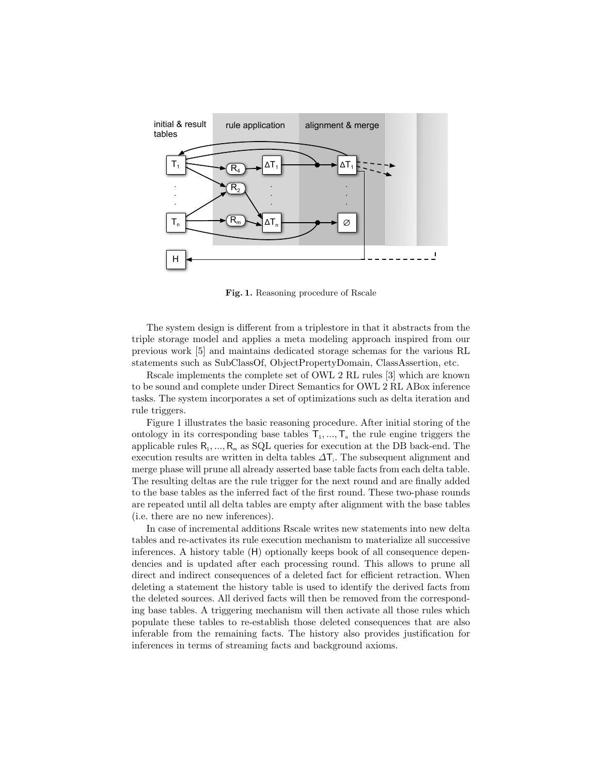

Fig. 1. Reasoning procedure of Rscale

The system design is different from a triplestore in that it abstracts from the triple storage model and applies a meta modeling approach inspired from our previous work [5] and maintains dedicated storage schemas for the various RL statements such as SubClassOf, ObjectPropertyDomain, ClassAssertion, etc.

Rscale implements the complete set of OWL 2 RL rules [3] which are known to be sound and complete under Direct Semantics for OWL 2 RL ABox inference tasks. The system incorporates a set of optimizations such as delta iteration and rule triggers.

Figure 1 illustrates the basic reasoning procedure. After initial storing of the ontology in its corresponding base tables  $T_1, ..., T_n$  the rule engine triggers the applicable rules  $R_1, ..., R_m$  as SQL queries for execution at the DB back-end. The execution results are written in delta tables  $\Delta T_i$ . The subsequent alignment and merge phase will prune all already asserted base table facts from each delta table. The resulting deltas are the rule trigger for the next round and are finally added to the base tables as the inferred fact of the first round. These two-phase rounds are repeated until all delta tables are empty after alignment with the base tables (i.e. there are no new inferences).

In case of incremental additions Rscale writes new statements into new delta tables and re-activates its rule execution mechanism to materialize all successive inferences. A history table (H) optionally keeps book of all consequence dependencies and is updated after each processing round. This allows to prune all direct and indirect consequences of a deleted fact for efficient retraction. When deleting a statement the history table is used to identify the derived facts from the deleted sources. All derived facts will then be removed from the corresponding base tables. A triggering mechanism will then activate all those rules which populate these tables to re-establish those deleted consequences that are also inferable from the remaining facts. The history also provides justification for inferences in terms of streaming facts and background axioms.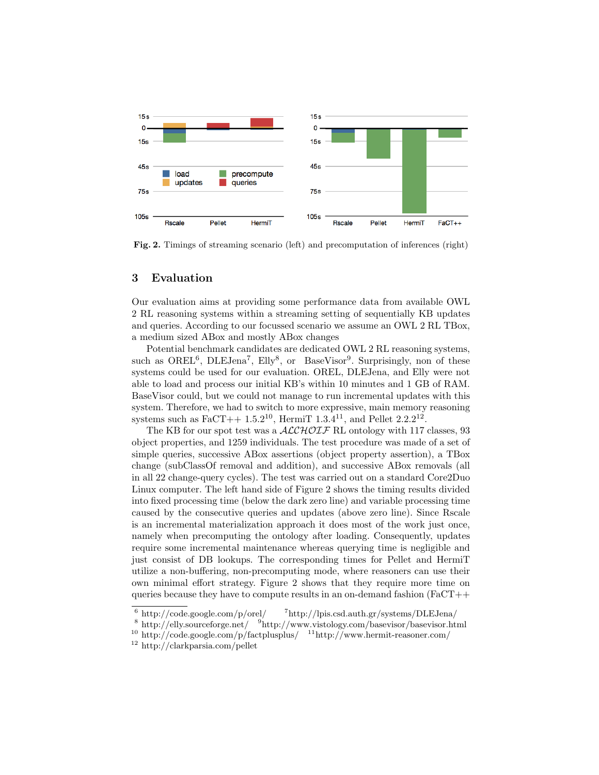

Fig. 2. Timings of streaming scenario (left) and precomputation of inferences (right)

#### 3 Evaluation

Our evaluation aims at providing some performance data from available OWL 2 RL reasoning systems within a streaming setting of sequentially KB updates and queries. According to our focussed scenario we assume an OWL 2 RL TBox, a medium sized ABox and mostly ABox changes

Potential benchmark candidates are dedicated OWL 2 RL reasoning systems, such as OREL<sup>6</sup>, DLEJena<sup>7</sup>, Elly<sup>8</sup>, or BaseVisor<sup>9</sup>. Surprisingly, non of these systems could be used for our evaluation. OREL, DLEJena, and Elly were not able to load and process our initial KB's within 10 minutes and 1 GB of RAM. BaseVisor could, but we could not manage to run incremental updates with this system. Therefore, we had to switch to more expressive, main memory reasoning systems such as  $FaCT++ 1.5.2^{10}$ , HermiT  $1.3.4^{11}$ , and Pellet  $2.2.2^{12}$ .

The KB for our spot test was a  $\mathcal{ALCHOIF}$  RL ontology with 117 classes, 93 object properties, and 1259 individuals. The test procedure was made of a set of simple queries, successive ABox assertions (object property assertion), a TBox change (subClassOf removal and addition), and successive ABox removals (all in all 22 change-query cycles). The test was carried out on a standard Core2Duo Linux computer. The left hand side of Figure 2 shows the timing results divided into fixed processing time (below the dark zero line) and variable processing time caused by the consecutive queries and updates (above zero line). Since Rscale is an incremental materialization approach it does most of the work just once, namely when precomputing the ontology after loading. Consequently, updates require some incremental maintenance whereas querying time is negligible and just consist of DB lookups. The corresponding times for Pellet and HermiT utilize a non-buffering, non-precomputing mode, where reasoners can use their own minimal effort strategy. Figure 2 shows that they require more time on queries because they have to compute results in an on-demand fashion ( $FaCT++$ 

 $6 \text{ http://code.google.com/p/orel/} \qquad \frac{7 \text{http://lpis.csd.auth.gr/systems/DLEJena/}}{}$ 

<sup>8</sup> http://elly.sourceforge.net/ <sup>9</sup>http://www.vistology.com/basevisor/basevisor.html

<sup>&</sup>lt;sup>10</sup> http://code.google.com/p/factplusplus/  $11$ http://www.hermit-reasoner.com/

<sup>12</sup> http://clarkparsia.com/pellet